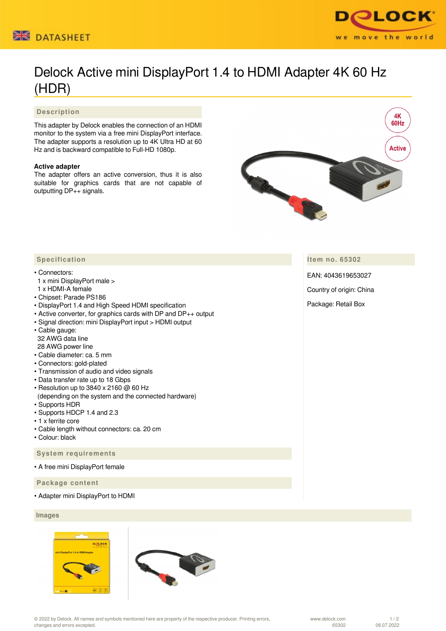



# Delock Active mini DisplayPort 1.4 to HDMI Adapter 4K 60 Hz (HDR)

# **Description**

This adapter by Delock enables the connection of an HDMI monitor to the system via a free mini DisplayPort interface. The adapter supports a resolution up to 4K Ultra HD at 60 Hz and is backward compatible to Full-HD 1080p.

## **Active adapter**

The adapter offers an active conversion, thus it is also suitable for graphics cards that are not capable of outputting DP++ signals.



**Item no. 65302**

EAN: 4043619653027

Country of origin: China

Package: Retail Box

# **Specification**

#### • Connectors:

- 1 x mini DisplayPort male >
- 1 x HDMI-A female
- Chipset: Parade PS186
- DisplayPort 1.4 and High Speed HDMI specification
- Active converter, for graphics cards with DP and DP++ output
- Signal direction: mini DisplayPort input > HDMI output
- Cable gauge: 32 AWG data line 28 AWG power line
- Cable diameter: ca. 5 mm
- Connectors: gold-plated
- Transmission of audio and video signals
- Data transfer rate up to 18 Gbps
- Resolution up to 3840 x 2160 @ 60 Hz
- (depending on the system and the connected hardware) • Supports HDR
- Supports HDCP 1.4 and 2.3
- 1 x ferrite core
- Cable length without connectors: ca. 20 cm
- Colour: black

 **System requirements**

• A free mini DisplayPort female

 **Package content**

• Adapter mini DisplayPort to HDMI

## **Images**